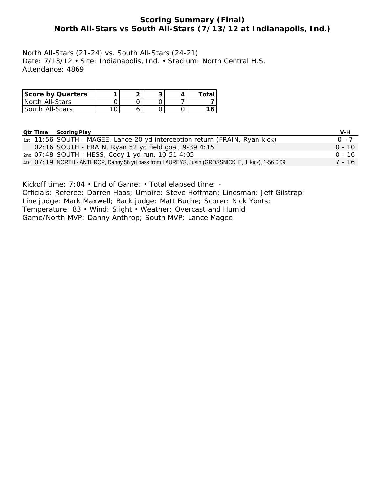# **Scoring Summary (Final) North All-Stars vs South All-Stars (7/13/12 at Indianapolis, Ind.)**

North All-Stars (21-24) vs. South All-Stars (24-21) Date: 7/13/12 • Site: Indianapolis, Ind. • Stadium: North Central H.S. Attendance: 4869

| <b>Score by Quarters</b> |  |  | Total |
|--------------------------|--|--|-------|
| North All-Stars          |  |  |       |
| South_All-Stars_         |  |  |       |

|  | <b>Qtr Time Scoring Play</b>                                                                      | V-H      |
|--|---------------------------------------------------------------------------------------------------|----------|
|  | 1st 11:56 SOUTH - MAGEE, Lance 20 yd interception return (FRAIN, Ryan kick)                       | $0 - 7$  |
|  | 02:16 SOUTH - FRAIN, Ryan 52 yd field goal, 9-39 4:15                                             | $0 - 10$ |
|  | 2nd 07:48 SOUTH - HESS, Cody 1 yd run, 10-51 4:05                                                 | በ - 16   |
|  | 4th 07:19 NORTH - ANTHROP, Danny 56 yd pass from LAUREYS, Jusin (GROSSNICKLE, J. kick), 1-56 0:09 | 7 - 16   |

Kickoff time: 7:04 • End of Game: • Total elapsed time: -

Officials: Referee: Darren Haas; Umpire: Steve Hoffman; Linesman: Jeff Gilstrap;

Line judge: Mark Maxwell; Back judge: Matt Buche; Scorer: Nick Yonts;

Temperature: 83 • Wind: Slight • Weather: Overcast and Humid

Game/North MVP: Danny Anthrop; South MVP: Lance Magee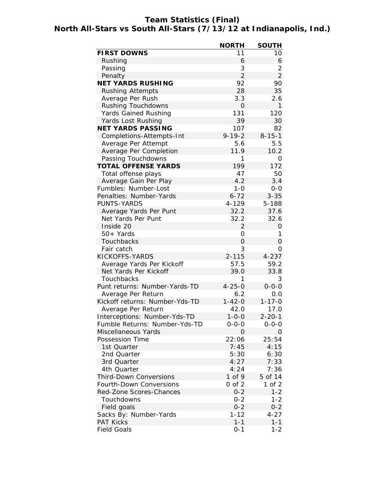# **Team Statistics (Final) North All-Stars vs South All-Stars (7/13/12 at Indianapolis, Ind.)**

|                                | <b>NORTH</b>   | <b>SOUTH</b>   |
|--------------------------------|----------------|----------------|
| <b>FIRST DOWNS</b>             | 11             | 10             |
| Rushing                        | 6              | 6              |
| Passing                        | 3              | 2              |
| Penalty                        | 2              | $\overline{2}$ |
| <b>NET YARDS RUSHING</b>       | 92             | 90             |
| <b>Rushing Attempts</b>        | 28             | 35             |
| Average Per Rush               | 3.3            | 2.6            |
| <b>Rushing Touchdowns</b>      | 0              | 1              |
| <b>Yards Gained Rushing</b>    | 131            | 120            |
| Yards Lost Rushing             | 39             | 30             |
| <b>NET YARDS PASSING</b>       | 107            | 82             |
| Completions-Attempts-Int       | $9 - 19 - 2$   | $8 - 15 - 1$   |
| Average Per Attempt            | 5.6            | 5.5            |
| Average Per Completion         | 11.9           | 10.2           |
| Passing Touchdowns             | 1              | 0              |
| <b>TOTAL OFFENSE YARDS</b>     | 199            | 172            |
| Total offense plays            | 47             | 50             |
| Average Gain Per Play          | 4.2            | 3.4            |
| Fumbles: Number-Lost           | $1 - 0$        | $0 - 0$        |
| Penalties: Number-Yards        | $6 - 72$       | $3 - 35$       |
| <b>PUNTS-YARDS</b>             | 4-129          | 5-188          |
| Average Yards Per Punt         | 32.2           | 37.6           |
| Net Yards Per Punt             | 32.2           | 32.6           |
| Inside 20                      | $\overline{2}$ | 0              |
| 50+ Yards                      | 0              | 1              |
| Touchbacks                     | 0              | 0              |
| Fair catch                     | 3              | 0              |
| KICKOFFS-YARDS                 | $2 - 115$      | $4 - 237$      |
| Average Yards Per Kickoff      | 57.5           | 59.2           |
| Net Yards Per Kickoff          | 39.0           | 33.8           |
| Touchbacks                     | 1              | 3              |
| Punt returns: Number-Yards-TD  | $4 - 25 - 0$   | $0 - 0 - 0$    |
| Average Per Return             | 6.2            | 0.0            |
| Kickoff returns: Number-Yds-TD | $1 - 42 - 0$   | $1 - 17 - 0$   |
| Average Per Return             | 42.0           | 17.0           |
| Interceptions: Number-Yds-TD   | $1 - 0 - 0$    | $2 - 20 - 1$   |
| Fumble Returns: Number-Yds-TD  | $0 - 0 - 0$    | $0 - 0 - 0$    |
| Miscellaneous Yards            | 0              | 0              |
| Possession Time                | 22:06          | 25:54          |
| 1st Quarter                    | 7:45           | 4:15           |
| 2nd Quarter                    | 5:30           | 6:30           |
| 3rd Quarter                    | 4:27           | 7:33           |
| 4th Quarter                    | 4:24           | 7:36           |
| <b>Third-Down Conversions</b>  | $1$ of $9$     | 5 of 14        |
| <b>Fourth-Down Conversions</b> | $0$ of $2$     | $1$ of $2$     |
| Red-Zone Scores-Chances        | $0 - 2$        | $1 - 2$        |
| Touchdowns                     | $0 - 2$        | $1 - 2$        |
| Field goals                    | $0 - 2$        | $0 - 2$        |
| Sacks By: Number-Yards         | $1 - 12$       | $4 - 27$       |
| <b>PAT Kicks</b>               | $1 - 1$        | $1 - 1$        |
| <b>Field Goals</b>             | $0 - 1$        | $1 - 2$        |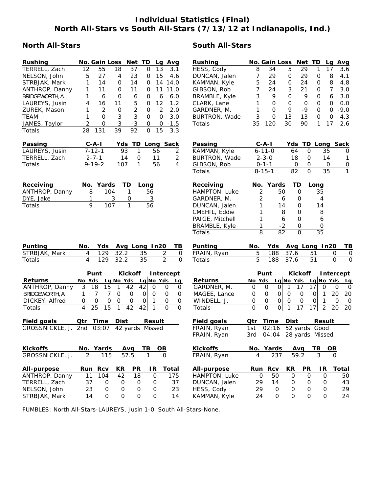# **Individual Statistics (Final) North All-Stars vs South All-Stars (7/13/12 at Indianapolis, Ind.)**

# **North All-Stars South All-Stars**

| <b>Rushing</b>            | No. Gain Loss Net TD                  |                               |                            | Lg Avg         |                     | <b>Rushing</b>       |                     | No. Gain Loss           |              | Net TD          |                      | Lg Avg                      |
|---------------------------|---------------------------------------|-------------------------------|----------------------------|----------------|---------------------|----------------------|---------------------|-------------------------|--------------|-----------------|----------------------|-----------------------------|
| TERRELL, Zach             | 12<br>55                              | 18<br>37                      | $\mathbf 0$                | 13             | 3.1                 | HESS, Cody           | 8                   | 34                      | 5            | 29              | 17<br>1              | 3.6                         |
| NELSON, John              | 5<br>27                               | 23<br>4                       | 0                          | 15             | 4.6                 | DUNCAN, Jalen        | 7                   | 29                      | 0            | 29              | 0                    | 8<br>4.1                    |
| STRBJAK, Mark             | 1<br>14                               | 14<br>0                       | 0                          | 14 14.0        |                     | KAMMAN, Kyle         | 5                   | 24                      | 0            | 24              | 0                    | 8<br>4.8                    |
| ANTHROP, Danny            | 1<br>11                               | 11<br>0                       | 0                          | 11             | 11.0                | GIBSON, Rob          | 7                   | 24                      | 3            | 21              | 0                    | 7<br>3.0                    |
| BRIDGEWORTH, A.           | 1<br>6                                | $\mathbf 0$<br>6              | 0                          | 6              | 6.0                 | <b>BRAMBLE, Kyle</b> | 3                   | 9                       | $\mathsf{O}$ | 9               | 0                    | 6<br>3.0                    |
| LAUREYS, Jusin            | 4<br>16                               | 5<br>11                       | 0                          | 12             | 1.2                 | CLARK, Lane          | 1                   | $\mathbf 0$             | $\mathbf 0$  | $\mathbf 0$     | $\mathbf 0$          | $\mathbf 0$<br>0.0          |
| ZUREK, Mason              | $\overline{2}$<br>1                   | $\overline{2}$<br>$\mathbf 0$ | 0                          | 2              | 2.0                 | GARDNER, M.          | 1                   | $\Omega$                | 9            | -9              | 0                    | $\mathsf{O}$<br>$-9.0$      |
| <b>TEAM</b>               | 1<br>$\mathbf 0$                      | 3<br>$-3$                     | 0                          | $\mathbf 0$    | $-3.0$              | BURTRON, Wade        | 3                   | 0                       | 13           | $-13$           | 0                    | 0<br>$-4.3$                 |
| JAMES, Taylor             | 2<br>0                                | $\sqrt{3}$<br>$-3$            | 0                          | 0              | $-1.5$              | Totals               | 35                  | 120                     | 30           | 90              | 1<br>17              | 2.6                         |
| Totals                    | 28<br>131                             | 39<br>92                      | $\overline{O}$             | 15             | 3.3                 |                      |                     |                         |              |                 |                      |                             |
| Passing                   | $C - A - I$                           | Yds TD Long Sack              |                            |                |                     | Passing              |                     | $C - A - I$             |              |                 |                      | Yds TD Long Sack            |
| LAUREYS, Jusin            | $7 - 12 - 1$                          | 93<br>1                       | 56                         |                | $\overline{2}$      | KAMMAN, Kyle         |                     | $6 - 11 - 0$            | 64           | $\mathbf 0$     | 35                   | 0                           |
| TERRELL, Zach             | $2 - 7 - 1$                           | 14<br>0                       | 11                         |                | $\overline{2}$      | <b>BURTRON, Wade</b> |                     | $2 - 3 - 0$             | 18           | 0               | 14                   | 1                           |
| Totals                    | $9 - 19 - 2$                          | 107<br>1                      | 56                         |                | $\overline{4}$      | GIBSON, Rob          |                     | $0 - 1 - 1$             | 0            | 0               | 0                    | $\overline{0}$              |
|                           |                                       |                               |                            |                |                     | Totals               |                     | $8 - 15 - 1$            | 82           | $\mathbf 0$     | 35                   | $\overline{1}$              |
| Receiving                 | No. Yards                             | TD                            | Long                       |                |                     | Receiving            |                     | No. Yards               | TD           |                 | Long                 |                             |
| ANTHROP, Danny            | 8<br>104                              | 1                             | 56                         |                |                     | HAMPTON, Luke        | 2                   | 50                      |              | $\mathbf 0$     | 35                   |                             |
| DYE, Jake                 | 1                                     | 3<br>0                        | $\overline{3}$             |                |                     | GARDNER, M.          | 2                   | 6                       |              | 0               | 4                    |                             |
| Totals                    | 9<br>107                              | $\mathbf{1}$                  | $\overline{56}$            |                |                     | DUNCAN, Jalen        | 1                   | 14                      |              | 0               | 14                   |                             |
|                           |                                       |                               |                            |                |                     | CMEHIL, Eddie        | 1                   | 8                       |              | 0               | 8                    |                             |
|                           |                                       |                               |                            |                |                     | PAIGE, Mitchell      | 1                   | 6                       |              | 0               | 6                    |                             |
|                           |                                       |                               |                            |                |                     | BRAMBLE, Kyle        | 1                   | $-2$                    |              | 0               | $\mathsf{O}\xspace$  |                             |
|                           |                                       |                               |                            |                |                     | Totals               | $\overline{8}$      | $\overline{82}$         |              | $\mathbf 0$     | $\overline{35}$      |                             |
| Punting                   | No.<br>Yds                            | Avg Long In20                 |                            |                | TВ                  | Punting              | No.                 | Yds                     |              | Avg Long In20   |                      | TВ                          |
| STRBJAK, Mark             | 129<br>4                              | 32.2                          | 35                         | $\overline{c}$ | 0                   | FRAIN, Ryan          | 5                   | 188                     | 37.6         | 51              |                      | 0<br>0                      |
| Totals                    | 4<br>129                              | 32.2                          | 35                         | $\overline{2}$ | $\mathbf{O}$        | Totals               | 5                   | 188                     | 37.6         | 51              |                      | $\mathbf{O}$<br>$\mathbf 0$ |
|                           | Punt                                  | <b>Kickoff</b>                |                            | Intercept      |                     |                      |                     | Punt                    |              | <b>Kickoff</b>  |                      | Intercept                   |
| <b>Returns</b>            | No Yds                                | Lg No Yds                     | Lg No Yds                  |                | Lg                  | <b>Returns</b>       | No Yds              |                         | Lg No Yds    |                 | Lg No Yds            | Lg                          |
| ANTHROP, Danny            | 3<br>15<br>18                         | 42<br>1                       | 42<br>$\mathbf 0$          | 0              | 0                   | GARDNER, M.          | $\mathbf 0$         | $\mathbf 0$<br>$\Omega$ | $\mathbf{1}$ | 17<br>17        | $\overline{0}$       | 0<br>0                      |
| BRIDGEWORTH, A.           | $\overline{7}$<br>1<br>$\overline{7}$ | $\mathbf 0$<br>$\mathbf 0$    | $\overline{O}$<br>0        | 0              | $\mathbf 0$         | MAGEE, Lance         | 0                   | $\Omega$<br>0           | $\mathbf 0$  | $\mathbf 0$     | 0 <br>$\mathbf{1}$   | 20<br>20                    |
| DICKEY, Alfred            | 0<br>$\mathsf{O}$<br>$\circ$          | $\mathbf 0$<br>0              | $\Omega$<br>$\overline{1}$ | 0              | $\mathsf{O}\xspace$ | WINDELL, J.          | $\mathsf{O}\xspace$ | $\mathsf O$<br> 0       | $\mathbf 0$  | $\mathbf 0$     | 0 <br>$\overline{1}$ | 0<br>$\overline{0}$         |
| Totals                    | 15<br>4<br>25                         | 1<br>42                       | 42<br>$\mathbf{1}$         | $\mathbf 0$    | $\Omega$            | Totals               | $\Omega$            | 0 <br>$\Omega$          | 1            | 17<br>17        | $\overline{2}$       | 20<br>20                    |
| Field goals               | Qtr<br>Time                           | <b>Dist</b>                   | Result                     |                |                     | <b>Field goals</b>   | Qtr                 | Time                    | Dist         |                 | <b>Result</b>        |                             |
| GROSSNICKLE, J. 2nd 03:07 |                                       | 42 yards Missed               |                            |                |                     | FRAIN, Ryan          | 1st                 | 02:16                   |              | 52 yards Good   |                      |                             |
|                           |                                       |                               |                            |                |                     | FRAIN, Ryan          | 3rd                 | 04:04                   |              | 28 yards Missed |                      |                             |
| <b>Kickoffs</b>           | No. Yards                             | Avg                           | TB.                        | OВ             |                     | <b>Kickoffs</b>      |                     | No. Yards               |              | Avg             | TВ                   | OВ                          |
| GROSSNICKLE, J.           | 2<br>115                              | 57.5                          | 1                          | $\mathbf 0$    |                     | FRAIN, Ryan          | 4                   | 237                     | 59.2         |                 | 3                    | $\Omega$                    |
| All-purpose               | Run Rcv                               | <b>PR</b><br>KR               | IR.                        | <b>Total</b>   |                     | All-purpose          |                     | Run Rcv                 | KR           | <b>PR</b>       | IR                   | <b>Total</b>                |
| ANTHROP, Danny            | 11<br>104                             | 42<br>18                      | $\mathsf{O}$               |                | 175                 | HAMPTON, Luke        | $\mathbf 0$         | 50                      | $\mathbf 0$  | $\mathbf 0$     | $\mathbf 0$          | 50                          |
| TERRELL, Zach             | 37<br>0                               | $\mathsf O$<br>0              | $\mathsf O$                |                | 37                  | DUNCAN, Jalen        | 29                  | 14                      | 0            | 0               | 0                    | 43                          |
| NELSON, John              | 23<br>$\mbox{O}$                      | $\mathbf 0$<br>$\mathbf 0$    | $\mbox{O}$                 |                | 23                  | HESS, Cody           | 29                  | $\mathbf 0$             | 0            | 0               | 0                    | 29                          |
| STRBJAK, Mark             | 14<br>0                               | $\mathbf 0$<br>$\mathbf 0$    | 0                          |                | 14                  | KAMMAN, Kyle         | 24                  | 0                       | $\Omega$     | $\mathbf 0$     | $\mathbf 0$          | 24                          |

FUMBLES: North All-Stars-LAUREYS, Jusin 1-0. South All-Stars-None.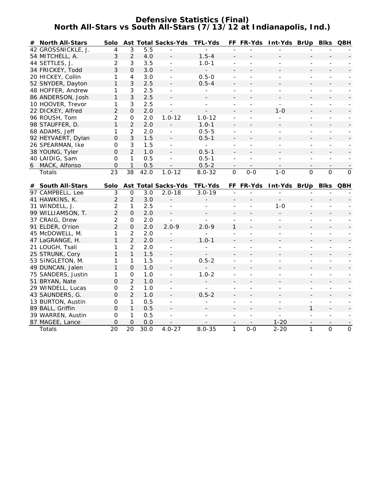### **Defensive Statistics (Final) North All-Stars vs South All-Stars (7/13/12 at Indianapolis, Ind.)**

| # North All-Stars         | Solo              |                    |             | <b>Ast Total Sacks-Yds</b> | <b>TFL-Yds</b> |                              |                          | FF FR-Yds Int-Yds BrUp   |                | <b>BIKS QBH</b>          |              |
|---------------------------|-------------------|--------------------|-------------|----------------------------|----------------|------------------------------|--------------------------|--------------------------|----------------|--------------------------|--------------|
| 42 GROSSNICKLE, J.        | 4                 | 3                  | 5.5         |                            |                |                              |                          |                          |                |                          |              |
| 54 MITCHELL, A.           | 3                 | $\overline{2}$     | 4.0         | $\blacksquare$             | $1.5 - 4$      |                              |                          |                          |                |                          |              |
| 44 SETTLES, J.            | $\overline{2}$    | 3                  | 3.5         | $\overline{a}$             | $1.0 - 1$      | ÷,                           |                          |                          |                |                          |              |
| 34 FRICKEY, Todd          | 3                 | 0                  | 3.0         | $\overline{\phantom{a}}$   | $\blacksquare$ | $\overline{a}$               |                          |                          |                |                          |              |
| 20 HICKEY, Collin         | 1                 | 4                  | 3.0         | $\blacksquare$             | $0.5 - 0$      | ÷,                           | $\overline{a}$           | ÷,                       | $\overline{a}$ |                          |              |
| 52 SNYDER, Dayton         | $\mathbf{1}$      | 3                  | 2.5         |                            | $0.5 - 4$      | $\overline{a}$               |                          |                          |                |                          |              |
| 48 HOFFER, Andrew         | 1                 | 3                  | 2.5         | $\blacksquare$             | ÷.             | ÷.                           | $\overline{a}$           | $\overline{a}$           | ÷.             | $\blacksquare$           |              |
| 86 ANDERSON, Josh         | 1                 | 3                  | 2.5         |                            |                |                              |                          |                          |                |                          |              |
| 10 HOOVER, Trevor         | 1                 | 3                  | 2.5         | ÷.                         | $\blacksquare$ | ÷,                           |                          | ÷.                       | $\overline{a}$ | $\overline{\phantom{a}}$ |              |
| 22 DICKEY, Alfred         | $\overline{2}$    | $\mathbf{O}$       | 2.0         | $\overline{\phantom{a}}$   | $\frac{1}{2}$  |                              |                          | $1 - 0$                  |                |                          |              |
| 96 ROUSH, Tom             | 2                 | 0                  | 2.0         | $1.0 - 12$                 | $1.0 - 12$     | $\overline{\phantom{a}}$     | $\overline{a}$           | $\overline{\phantom{a}}$ | $\overline{a}$ | $\blacksquare$           |              |
| 98 STAUFFER, D.           | 1                 | $\overline{2}$     | 2.0         |                            | $1.0 - 1$      | $\overline{a}$               |                          |                          |                |                          |              |
| 68 ADAMS, Jeff            | 1                 | $\overline{2}$     | 2.0         | $\overline{\phantom{a}}$   | $0.5 - 5$      | $\overline{a}$               | $\overline{a}$           | $\overline{a}$           | $\overline{a}$ | $\overline{\phantom{a}}$ |              |
| 92 HEYVAERT, Dylan        | $\mathbf 0$       | 3                  | 1.5         | $\overline{\phantom{a}}$   | $0.5 - 1$      | $\overline{a}$               |                          |                          |                |                          |              |
| 26 SPEARMAN, Ike          | $\Omega$          | 3                  | 1.5         | $\blacksquare$             | $\omega$       | $\overline{\phantom{a}}$     | $\overline{\phantom{a}}$ | $\overline{\phantom{a}}$ | $\overline{a}$ | $\overline{\phantom{a}}$ |              |
| 38 YOUNG, Tyler           | $\Omega$          | $\overline{2}$     | 1.0         | $\sim$                     | $0.5 - 1$      | L.                           |                          |                          |                |                          |              |
| 40 LAIDIG, Sam            | 0                 | 1                  | 0.5         | $\blacksquare$             | $0.5 - 1$      | L.                           |                          |                          | $\overline{a}$ |                          |              |
| 6 MACK, Alfonso           | $\Omega$          | $\mathbf{1}$       | 0.5         |                            | $0.5 - 2$      | $\overline{\phantom{a}}$     |                          |                          |                |                          |              |
| Totals                    | 23                | 38                 | 42.0        | $1.0 - 12$                 | $8.0 - 32$     | $\mathbf 0$                  | $0 - 0$                  | $1 - 0$                  | $\Omega$       | $\mathbf 0$              | $\mathsf{O}$ |
|                           |                   |                    |             |                            |                |                              |                          |                          |                |                          |              |
| # South All-Stars         | Solo              |                    |             | <b>Ast Total Sacks-Yds</b> | <b>TFL-Yds</b> |                              | FF FR-Yds                | Int-Yds BrUp             |                | <b>Blks</b>              | QBH          |
| 97 CAMPBELL, Lee          | 3                 | 0                  | 3.0         | $2.0 - 18$                 | $3.0 - 19$     |                              |                          |                          |                |                          |              |
| 41 HAWKINS, K.            | $\overline{2}$    | $\overline{2}$     | 3.0         |                            |                |                              |                          |                          |                |                          |              |
| 31 WINDELL, J.            | 2                 | 1                  | 2.5         |                            |                |                              |                          | $1 - 0$                  |                |                          |              |
| 99 WILLIAMSON, T.         | $\overline{2}$    | $\overline{O}$     | 2.0         | $\overline{\phantom{a}}$   |                |                              |                          |                          |                |                          |              |
| 37 CRAIG, Drew            | 2                 | 0                  | 2.0         |                            | ÷.             | ÷,                           |                          |                          | ÷,             | $\equiv$                 |              |
| 91 ELDER, O'rion          | $\overline{2}$    | $\mathbf{O}$       | 2.0         | $2.0 - 9$                  | $2.0 - 9$      | 1                            |                          |                          |                |                          |              |
| 45 McDOWELL, M.           | 1                 | $\overline{2}$     | 2.0         |                            |                | $\overline{a}$               | $\overline{a}$           |                          | ÷,             |                          |              |
| 47 LaGRANGE, H.           | 1                 | $\overline{2}$     | 2.0         |                            | $1.0 - 1$      | $\qquad \qquad \blacksquare$ |                          |                          |                |                          |              |
| 21 LOUGH, Tsali           | 1                 | $\overline{2}$     | 2.0         | $\bar{\phantom{a}}$        |                | $\overline{a}$               | $\overline{a}$           | $\overline{a}$           | ÷,             | $\overline{a}$           |              |
| 25 STRUNK, Cory           | 1                 | $\mathbf{1}$       | 1.5         |                            |                |                              |                          |                          |                |                          |              |
| 53 SINGLETON, M.          | 1                 | 1                  | 1.5         | $\omega$                   | $0.5 - 2$      | $\overline{a}$               | $\mathbf{r}$             |                          | ÷,             | $\blacksquare$           |              |
| 49 DUNCAN, Jalen          | 1                 | $\mathbf{O}$       | 1.0         | $\overline{\phantom{a}}$   |                | $\overline{\phantom{0}}$     |                          |                          |                | ۳                        |              |
| 75 SANDERS, Justin        | 1                 | 0                  | 1.0         | $\blacksquare$             | $1.0 - 2$      | L.                           | $\mathbf{r}$             | ÷.                       | L.             | $\sim$                   |              |
| 51 BRYAN, Nate            | $\overline{O}$    | $\overline{2}$     | 1.0         | $\overline{\phantom{a}}$   |                | $\overline{a}$               |                          |                          |                |                          |              |
| 29 WINDELL, Lucas         | 0                 | $\overline{2}$     | 1.0         | $\blacksquare$             | ÷.             | ÷,                           | $\overline{\phantom{a}}$ | $\overline{\phantom{a}}$ | $\overline{a}$ | $\blacksquare$           |              |
| 43 SAUNDERS, G.           | $\mathbf 0$       | $\overline{2}$     | 1.0         |                            | $0.5 - 2$      |                              |                          |                          |                |                          |              |
| 13 BURTON, Austin         | 0                 | $\mathbf{1}$       | 0.5         |                            |                | $\overline{a}$               | $\overline{a}$           | $\blacksquare$           | ÷,             | $\blacksquare$           |              |
| 89 BALL, Griffin          | $\mathbf 0$       | 1                  | 0.5         |                            |                |                              |                          |                          | 1              |                          |              |
| 39 WARREN, Austin         | 0                 | 1                  | 0.5         | $\blacksquare$             | ÷              | ÷,                           | $\blacksquare$           | $\overline{a}$           | ÷.             | $\blacksquare$           |              |
|                           |                   |                    |             |                            |                |                              |                          |                          |                |                          |              |
| 87 MAGEE, Lance<br>Totals | $\mathbf 0$<br>20 | $\mathbf{O}$<br>20 | 0.0<br>30.0 | $4.0 - 27$                 | $8.0 - 35$     | $\mathbf{1}$                 | $0 - 0$                  | $1 - 20$<br>$2 - 20$     | 1              | $\overline{O}$           | $\mathbf 0$  |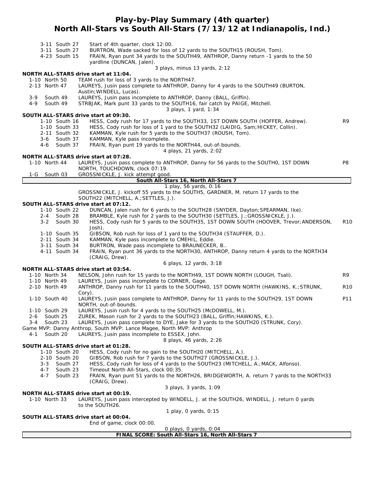# **Play-by-Play Summary (4th quarter) North All-Stars vs South All-Stars (7/13/12 at Indianapolis, Ind.)**

| 3-11 South 27       | Start of 4th quarter, clock 12:00.                                                                                    |                 |
|---------------------|-----------------------------------------------------------------------------------------------------------------------|-----------------|
| 3-11 South 27       | BURTRON, Wade sacked for loss of 12 yards to the SOUTH15 (ROUSH, Tom).                                                |                 |
| 4-23 South 15       | FRAIN, Ryan punt 34 yards to the SOUTH49, ANTHROP, Danny return -1 yards to the 50                                    |                 |
|                     | yardline (DUNCAN, Jalen).                                                                                             |                 |
|                     | 3 plays, minus 13 yards, 2:12                                                                                         |                 |
|                     | NORTH ALL-STARS drive start at 11:04.                                                                                 |                 |
| 1-10 North 50       | TEAM rush for loss of 3 yards to the NORTH47.                                                                         |                 |
| 2-13 North 47       | LAUREYS, Jusin pass complete to ANTHROP, Danny for 4 yards to the SOUTH49 (BURTON,                                    |                 |
|                     | Austin; WINDELL, Lucas).                                                                                              |                 |
| 3-9<br>South 49     | LAUREYS, Jusin pass incomplete to ANTHROP, Danny (BALL, Griffin).                                                     |                 |
| 4-9<br>South 49     | STRBJAK, Mark punt 33 yards to the SOUTH16, fair catch by PAIGE, Mitchell.                                            |                 |
|                     | 3 plays, 1 yard, 1:34                                                                                                 |                 |
|                     | SOUTH ALL-STARS drive start at 09:30.                                                                                 |                 |
| 1-10 South 16       | HESS, Cody rush for 17 yards to the SOUTH33, 1ST DOWN SOUTH (HOFFER, Andrew).                                         | R9              |
| 1-10 South 33       | HESS, Cody rush for loss of 1 yard to the SOUTH32 (LAIDIG, Sam; HICKEY, Collin).                                      |                 |
| 2-11 South 32       | KAMMAN, Kyle rush for 5 yards to the SOUTH37 (ROUSH, Tom).                                                            |                 |
| 3-6<br>South 37     | KAMMAN, Kyle pass incomplete.                                                                                         |                 |
| South 37<br>4-6     | FRAIN, Ryan punt 19 yards to the NORTH44, out-of-bounds.                                                              |                 |
|                     | 4 plays, 21 yards, 2:02                                                                                               |                 |
|                     | NORTH ALL-STARS drive start at 07:28.                                                                                 |                 |
| 1-10 North 44       | LAUREYS, Jusin pass complete to ANTHROP, Danny for 56 yards to the SOUTHO, 1ST DOWN<br>NORTH, TOUCHDOWN, clock 07:19. | P8              |
|                     |                                                                                                                       |                 |
| 1-G<br>South 03     | GROSSNICKLE, J. kick attempt good.                                                                                    |                 |
|                     | South All-Stars 16, North All-Stars 7<br>1 play, 56 yards, 0:16                                                       |                 |
|                     | GROSSNICKLE, J. kickoff 55 yards to the SOUTH5, GARDNER, M. return 17 yards to the                                    |                 |
|                     | SOUTH22 (MITCHELL, A.; SETTLES, J.).                                                                                  |                 |
|                     | SOUTH ALL-STARS drive start at 07:12.                                                                                 |                 |
| 1-10 South 22       | DUNCAN, Jalen rush for 6 yards to the SOUTH28 (SNYDER, Dayton; SPEARMAN, Ike).                                        |                 |
| 2-4 South 28        | BRAMBLE, Kyle rush for 2 yards to the SOUTH30 (SETTLES, J.; GROSSNICKLE, J.).                                         |                 |
| $3 - 2$<br>South 30 | HESS, Cody rush for 5 yards to the SOUTH35, 1ST DOWN SOUTH (HOOVER, Trevor; ANDERSON,                                 | <b>R10</b>      |
|                     | Josh).                                                                                                                |                 |
| 1-10 South 35       | GIBSON, Rob rush for loss of 1 yard to the SOUTH34 (STAUFFER, D.).                                                    |                 |
| 2-11 South 34       | KAMMAN, Kyle pass incomplete to CMEHIL, Eddie.                                                                        |                 |
| 3-11 South 34       | BURTRON, Wade pass incomplete to BRAUNECKER, B                                                                        |                 |
| 4-11 South 34       | FRAIN, Ryan punt 36 yards to the NORTH30, ANTHROP, Danny return 4 yards to the NORTH34                                |                 |
|                     | (CRAIG, Drew).                                                                                                        |                 |
|                     | 6 plays, 12 yards, 3:18                                                                                               |                 |
|                     | NORTH ALL-STARS drive start at 03:54.                                                                                 |                 |
| 1-10 North 34       | NELSON, John rush for 15 yards to the NORTH49, 1ST DOWN NORTH (LOUGH, Tsali).                                         | R9              |
| 1-10 North 49       | LAUREYS, Jusin pass incomplete to CORNER, Gage.                                                                       |                 |
| 2-10 North 49       | ANTHROP, Danny rush for 11 yards to the SOUTH40, 1ST DOWN NORTH (HAWKINS, K.; STRUNK,                                 | R <sub>10</sub> |
|                     | Cory).                                                                                                                |                 |
| 1-10 South 40       | LAUREYS, Jusin pass complete to ANTHROP, Danny for 11 yards to the SOUTH29, 1ST DOWN                                  | P11             |
|                     | NORTH, out-of-bounds.                                                                                                 |                 |
| 1-10 South 29       | LAUREYS, Jusin rush for 4 yards to the SOUTH25 (McDOWELL, M.).                                                        |                 |
| South 25<br>2-6     | ZUREK, Mason rush for 2 yards to the SOUTH23 (BALL, Griffin; HAWKINS, K.).                                            |                 |
| 3-4<br>South 23     | LAUREYS, Jusin pass complete to DYE, Jake for 3 yards to the SOUTH20 (STRUNK, Cory).                                  |                 |
|                     | Game MVP: Danny Anthrop, South MVP: Lance Magee, North MVP: Anthrop                                                   |                 |
| South 20<br>4-1     | LAUREYS, Jusin pass incomplete to ESSEX, John.<br>8 plays, 46 yards, 2:26                                             |                 |
|                     | SOUTH ALL-STARS drive start at 01:28.                                                                                 |                 |
| 1-10 South 20       | HESS, Cody rush for no gain to the SOUTH20 (MITCHELL, A.).                                                            |                 |
| 2-10 South 20       | GIBSON, Rob rush for 7 yards to the SOUTH27 (GROSSNICKLE, J.).                                                        |                 |
| $3 - 3$<br>South 27 | HESS, Cody rush for loss of 4 yards to the SOUTH23 (MITCHELL, A.; MACK, Alfonso).                                     |                 |
| South 23<br>4-7     | Timeout North All-Stars, clock 00:35.                                                                                 |                 |
| 4-7<br>South 23     | FRAIN, Ryan punt 51 yards to the NORTH26, BRIDGEWORTH, A. return 7 yards to the NORTH33                               |                 |
|                     | (CRAIG, Drew).                                                                                                        |                 |
|                     | 3 plays, 3 yards, 1:09                                                                                                |                 |
|                     | NORTH ALL-STARS drive start at 00:19.                                                                                 |                 |
| 1-10 North 33       | LAUREYS, Jusin pass intercepted by WINDELL, J. at the SOUTH26, WINDELL, J. return 0 yards                             |                 |
|                     | to the SOUTH26.                                                                                                       |                 |
|                     | 1 play, 0 yards, 0:15                                                                                                 |                 |
|                     | SOUTH ALL-STARS drive start at 00:04.                                                                                 |                 |
|                     | End of game, clock 00:00.                                                                                             |                 |
|                     |                                                                                                                       |                 |

*0 plays, 0 yards, 0:04*

**FINAL SCORE: South All-Stars 16, North All-Stars 7**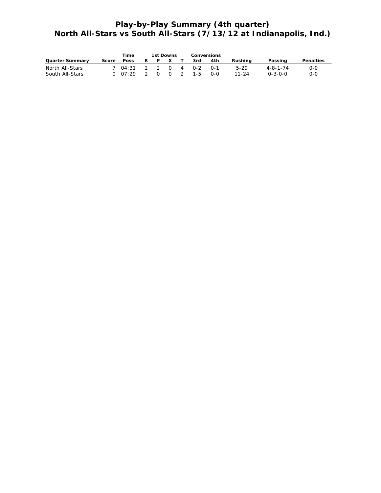# **Play-by-Play Summary (4th quarter) North All-Stars vs South All-Stars (7/13/12 at Indianapolis, Ind.)**

|                                    |       | Time                           |               | 1st Downs |              |          | Conversions |              |                   |                                     |              |
|------------------------------------|-------|--------------------------------|---------------|-----------|--------------|----------|-------------|--------------|-------------------|-------------------------------------|--------------|
| <b>Quarter Summary</b>             | Score | <b>Poss</b>                    | R             | P.        | $\mathbf{x}$ |          | 3rd         | 4th          | Rushina           | Passing                             | Penalties    |
| North All-Stars<br>South All-Stars |       | 7 04:31 2 2 0 4 0-2<br>0.07:29 | $\mathcal{P}$ |           | $0\quad 0$   | $\sim$ 2 | $1 - 5$     | _ റ−1<br>റ-റ | 5-29<br>$11 - 24$ | $4 - 8 - 1 - 74$<br>$0 - 3 - 0 - 0$ | $O-O$<br>ი-ი |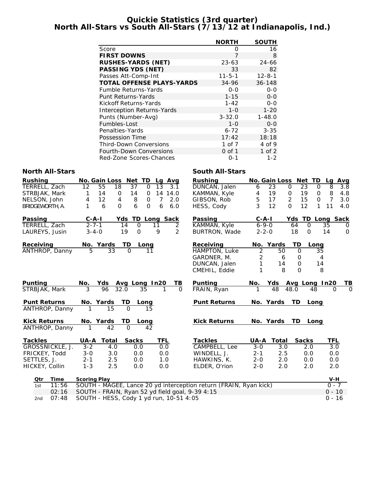#### **Quickie Statistics (3rd quarter) North All-Stars vs South All-Stars (7/13/12 at Indianapolis, Ind.)**

|                                   | <b>NORTH</b> | <b>SOUTH</b> |
|-----------------------------------|--------------|--------------|
| Score                             | Ω            | 16           |
| <b>FIRST DOWNS</b>                | 7            | 8            |
| <b>RUSHES-YARDS (NET)</b>         | $23 - 63$    | $24 - 66$    |
| PASSING YDS (NET)                 | 33           | 82           |
| Passes Att-Comp-Int               | $11 - 5 - 1$ | $12 - 8 - 1$ |
| <b>TOTAL OFFENSE PLAYS-YARDS</b>  | 34-96        | $36 - 148$   |
| <b>Fumble Returns-Yards</b>       | $0 - 0$      | $0 - 0$      |
| <b>Punt Returns-Yards</b>         | $1 - 15$     | $0 - 0$      |
| Kickoff Returns-Yards             | $1 - 42$     | 0-0          |
| <b>Interception Returns-Yards</b> | $1 - 0$      | $1 - 20$     |
| Punts (Number-Avg)                | $3 - 32.0$   | $1 - 48.0$   |
| Fumbles-Lost                      | $1 - 0$      | $0 - 0$      |
| Penalties-Yards                   | $6 - 72$     | $3 - 35$     |
| Possession Time                   | 17:42        | 18:18        |
| <b>Third-Down Conversions</b>     | 1 of 7       | 4 of 9       |
| <b>Fourth-Down Conversions</b>    | $0$ of 1     | $1$ of $2$   |
| Red-Zone Scores-Chances           | 0-1          | $1 - 2$      |

#### **North All-Stars South All-Stars** South All-Stars

| <b>Rushing</b>      |                 |                     | No. Gain Loss Net TD                    |                    |             |                | Lg Avg         | <b>Rushing</b>                                                    |                | No. Gain Loss Net TD |             |                  |              |                | Lg Avg   |
|---------------------|-----------------|---------------------|-----------------------------------------|--------------------|-------------|----------------|----------------|-------------------------------------------------------------------|----------------|----------------------|-------------|------------------|--------------|----------------|----------|
| TERRELL, Zach       |                 | 12                  | 18<br>55                                | 37                 | $\Omega$    | 13             | 3.1            | DUNCAN, Jalen                                                     | 6              | 23                   | $\mathbf 0$ | $\overline{23}$  | $\mathbf 0$  | 8              | 3.8      |
| STRBJAK, Mark       |                 | 1                   | 14<br>$\mathsf{O}$                      | 14                 | 0           |                | 14 14.0        | KAMMAN, Kyle                                                      | 4              | 19                   | 0           | 19               | 0            | 8              | 4.8      |
| NELSON, John        |                 | 4                   | 12<br>4                                 | 8                  | $\Omega$    | $\overline{7}$ | 2.0            | GIBSON, Rob                                                       | 5              | 17                   | 2           | 15               | $\Omega$     | $\overline{7}$ | 3.0      |
| BRIDGEWORTH, A.     |                 | 1                   | $\Omega$<br>6                           | 6                  | $\mathbf 0$ | 6              | 6.0            | HESS, Cody                                                        | $\overline{3}$ | 12                   | $\Omega$    | 12               | $\mathbf{1}$ | 11             | 4.0      |
| Passing             |                 | $C - A - I$         | Yds                                     |                    |             |                | TD Long Sack   | Passing                                                           |                | $C - A - I$          |             | Yds TD Long Sack |              |                |          |
| TERRELL, Zach       |                 | $2 - 7 - 1$         |                                         | $\mathsf{O}$<br>14 |             | 11             | 2              | KAMMAN, Kyle                                                      |                | $6 - 9 - 0$          | 64          | $\mathsf{O}$     |              | 35             | 0        |
| LAUREYS, Jusin      |                 | $3 - 4 - 0$         |                                         | $\Omega$<br>19     |             | 9              | $\overline{2}$ | BURTRON, Wade                                                     |                | $2 - 2 - 0$          | 18          | $\Omega$         |              | 14             | $\Omega$ |
| Receiving           |                 |                     | No. Yards                               | TD                 | Long        |                |                | Receiving                                                         |                | No. Yards            |             | TD               | Long         |                |          |
|                     | ANTHROP, Danny  | 5                   | 33                                      | $\Omega$           | 11          |                |                | HAMPTON, Luke                                                     | $\overline{2}$ | 50                   |             | $\mathbf 0$      | 35           |                |          |
|                     |                 |                     |                                         |                    |             |                |                | GARDNER, M.                                                       | 2              | 6                    |             | 0                | 4            |                |          |
|                     |                 |                     |                                         |                    |             |                |                | DUNCAN, Jalen                                                     | 1              | 14                   |             | 0                | 14           |                |          |
|                     |                 |                     |                                         |                    |             |                |                | CMEHIL, Eddie                                                     | 1              | 8                    |             | $\Omega$         | 8            |                |          |
| Punting             |                 | No.                 | Yds Avg Long In20                       |                    |             |                | TB.            | Punting                                                           | No.            | Yds                  |             | Avg Long In20    |              |                | TВ       |
| STRBJAK, Mark       |                 | 3                   | 96<br>32.0                              |                    | 35          |                | $\Omega$       | FRAIN, Ryan                                                       | 1              | 48                   | 48.0        |                  | 48           | $\Omega$       | $\Omega$ |
| <b>Punt Returns</b> |                 |                     | No. Yards                               | TD                 | Long        |                |                | <b>Punt Returns</b>                                               |                | No. Yards            |             | <b>TD</b>        | Long         |                |          |
|                     | ANTHROP, Danny  | 1                   | 15                                      | $\Omega$           | 15          |                |                |                                                                   |                |                      |             |                  |              |                |          |
| <b>Kick Returns</b> |                 |                     | No. Yards                               | TD                 | Long        |                |                | <b>Kick Returns</b>                                               |                | No. Yards            |             | TD Long          |              |                |          |
|                     | ANTHROP, Danny  | 1                   | 42                                      | $\Omega$           | 42          |                |                |                                                                   |                |                      |             |                  |              |                |          |
| <b>Tackles</b>      |                 |                     | <b>UA-A Total</b>                       | <b>Sacks</b>       |             | TFL            |                | <b>Tackles</b>                                                    | UA-A           | <b>Total</b>         |             | <b>Sacks</b>     |              | <b>TFL</b>     |          |
|                     | GROSSNICKLE, J. | $3 - 2$             | 4.0                                     | 0.0                |             | 0.0            |                | CAMPBELL, Lee                                                     | $3 - 0$        | 3.0                  |             | 2.0              |              | 3.0            |          |
| FRICKEY, Todd       |                 | $3 - 0$             | 3.0                                     | 0.0                |             | 0.0            |                | WINDELL, J.                                                       | $2 - 1$        | 2.5                  |             | 0.0              |              | 0.0            |          |
| SETTLES, J.         |                 | $2 - 1$             | 2.5                                     | 0.0                |             | 1.0            |                | HAWKINS, K.                                                       | $2 - 0$        | 2.0                  |             | 0.0              |              | 0.0            |          |
| HICKEY, Collin      |                 | $1 - 3$             | 2.5                                     | 0.0                |             | 0.0            |                | ELDER, O'rion                                                     | $2 - 0$        | 2.0                  |             | 2.0              |              | 2.0            |          |
| Qtr                 | Time            | <b>Scoring Play</b> |                                         |                    |             |                |                |                                                                   |                |                      |             |                  |              | V-H            |          |
| 1st                 | 11:56           |                     |                                         |                    |             |                |                | SOUTH - MAGEE, Lance 20 yd interception return (FRAIN, Ryan kick) |                |                      |             |                  |              | $0 - 7$        |          |
|                     | 02:16           |                     |                                         |                    |             |                |                | SOUTH - FRAIN, Ryan 52 yd field goal, 9-39 4:15                   |                |                      |             |                  |              | $0 - 10$       |          |
| 2nd                 | 07:48           |                     | SOUTH - HESS, Cody 1 yd run, 10-51 4:05 |                    |             |                |                |                                                                   |                |                      |             |                  |              | $0 - 16$       |          |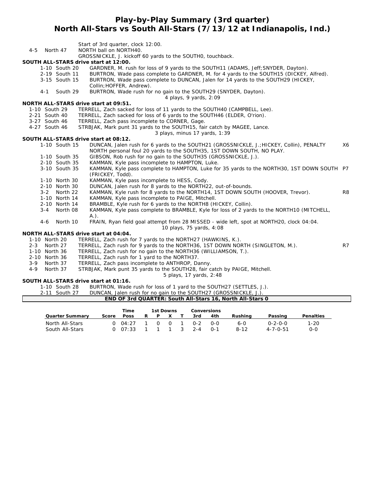# **Play-by-Play Summary (3rd quarter) North All-Stars vs South All-Stars (7/13/12 at Indianapolis, Ind.)**

|                    |               |               | Start of 3rd quarter, clock 12:00.                                                         |                |
|--------------------|---------------|---------------|--------------------------------------------------------------------------------------------|----------------|
| $4 - 5$            |               | North 47      | NORTH ball on NORTH40.                                                                     |                |
|                    |               |               | GROSSNICKLE, J. kickoff 60 yards to the SOUTHO, touchback.                                 |                |
|                    |               |               | SOUTH ALL-STARS drive start at 12:00.                                                      |                |
|                    |               | 1-10 South 20 | GARDNER, M. rush for loss of 9 yards to the SOUTH11 (ADAMS, Jeff; SNYDER, Dayton).         |                |
|                    |               | 2-19 South 11 | BURTRON, Wade pass complete to GARDNER, M. for 4 yards to the SOUTH15 (DICKEY, Alfred).    |                |
|                    |               | 3-15 South 15 | BURTRON, Wade pass complete to DUNCAN, Jalen for 14 yards to the SOUTH29 (HICKEY,          |                |
|                    |               |               | Collin; HOFFER, Andrew).                                                                   |                |
|                    | $4 - 1$       | South 29      | BURTRON, Wade rush for no gain to the SOUTH29 (SNYDER, Dayton).                            |                |
|                    |               |               | 4 plays, 9 yards, 2:09<br>NORTH ALL-STARS drive start at 09:51.                            |                |
|                    |               | 1-10 South 29 | TERRELL, Zach sacked for loss of 11 yards to the SOUTH40 (CAMPBELL, Lee).                  |                |
|                    |               | 2-21 South 40 | TERRELL, Zach sacked for loss of 6 yards to the SOUTH46 (ELDER, O'rion).                   |                |
|                    |               | 3-27 South 46 | TERRELL, Zach pass incomplete to CORNER, Gage.                                             |                |
|                    |               | 4-27 South 46 | STRBJAK, Mark punt 31 yards to the SOUTH15, fair catch by MAGEE, Lance.                    |                |
|                    |               |               | 3 plays, minus 17 yards, 1:39                                                              |                |
|                    |               |               | SOUTH ALL-STARS drive start at 08:12.                                                      |                |
|                    |               | 1-10 South 15 | DUNCAN, Jalen rush for 6 yards to the SOUTH21 (GROSSNICKLE, J.; HICKEY, Collin), PENALTY   | X6             |
|                    |               |               | NORTH personal foul 20 yards to the SOUTH35, 1ST DOWN SOUTH, NO PLAY.                      |                |
|                    |               | 1-10 South 35 | GIBSON, Rob rush for no gain to the SOUTH35 (GROSSNICKLE, J.).                             |                |
|                    |               | 2-10 South 35 | KAMMAN, Kyle pass incomplete to HAMPTON, Luke.                                             |                |
|                    |               | 3-10 South 35 | KAMMAN, Kyle pass complete to HAMPTON, Luke for 35 yards to the NORTH30, 1ST DOWN SOUTH P7 |                |
|                    |               |               | (FRICKEY, Todd).                                                                           |                |
|                    |               | 1-10 North 30 | KAMMAN, Kyle pass incomplete to HESS, Cody.                                                |                |
|                    |               | 2-10 North 30 | DUNCAN, Jalen rush for 8 yards to the NORTH22, out-of-bounds.                              |                |
|                    | $3 - 2$       | North 22      | KAMMAN, Kyle rush for 8 yards to the NORTH14, 1ST DOWN SOUTH (HOOVER, Trevor).             | R <sub>8</sub> |
|                    |               | 1-10 North 14 | KAMMAN, Kyle pass incomplete to PAIGE, Mitchell.                                           |                |
|                    |               | 2-10 North 14 | BRAMBLE, Kyle rush for 6 yards to the NORTH8 (HICKEY, Collin).                             |                |
|                    | $3 - 4$       | North 08      | KAMMAN, Kyle pass complete to BRAMBLE, Kyle for loss of 2 yards to the NORTH10 (MITCHELL,  |                |
|                    |               |               | $A.$ ).                                                                                    |                |
|                    | $4 - 6$       | North 10      | FRAIN, Ryan field goal attempt from 28 MISSED - wide left, spot at NORTH20, clock 04:04.   |                |
|                    |               |               | 10 plays, 75 yards, 4:08                                                                   |                |
|                    |               |               | NORTH ALL-STARS drive start at 04:04.                                                      |                |
|                    | 1-10 North 20 |               | TERRELL, Zach rush for 7 yards to the NORTH27 (HAWKINS, K.).                               |                |
| $2 - 3$            |               | North 27      | TERRELL, Zach rush for 9 yards to the NORTH36, 1ST DOWN NORTH (SINGLETON, M.).             | R7             |
|                    | 1-10 North 36 |               | TERRELL, Zach rush for no gain to the NORTH36 (WILLIAMSON, T.).                            |                |
|                    |               | 2-10 North 36 | TERRELL, Zach rush for 1 yard to the NORTH37.                                              |                |
| $3 - 9$<br>$4 - 9$ |               | North 37      | TERRELL, Zach pass incomplete to ANTHROP, Danny.                                           |                |
|                    |               | North 37      | STRBJAK, Mark punt 35 yards to the SOUTH28, fair catch by PAIGE, Mitchell.                 |                |
|                    |               |               | 5 plays, 17 yards, 2:48                                                                    |                |

# **SOUTH ALL-STARS drive start at 01:16.**

1-10 South 28 BURTRON, Wade rush for loss of 1 yard to the SOUTH27 (SETTLES, J.).<br>2-11 South 27 DUNCAN, Jalen rush for no gain to the SOUTH27 (GROSSNICKLE, J.).

DUNCAN, Jalen rush for no gain to the SOUTH27 (GROSSNICKLE, J.).

|                        | Time  |       | 1st Downs |  |   | Conversions |         |          |                  |                  |
|------------------------|-------|-------|-----------|--|---|-------------|---------|----------|------------------|------------------|
| <b>Quarter Summary</b> | Score | Poss  | R         |  |   | 3rd         | 4th     | Rushina  | Passing          | <b>Penalties</b> |
| North All-Stars        |       | 04.27 |           |  | റ | $0 - 2$     | 0-0     | 6-0      | $0 - 2 - 0 - 0$  | $1 - 20$         |
| South All-Stars        |       | 07.33 |           |  |   | $2 - 4$     | $0 - 1$ | $8 - 12$ | $4 - 7 - 0 - 51$ | 0-0              |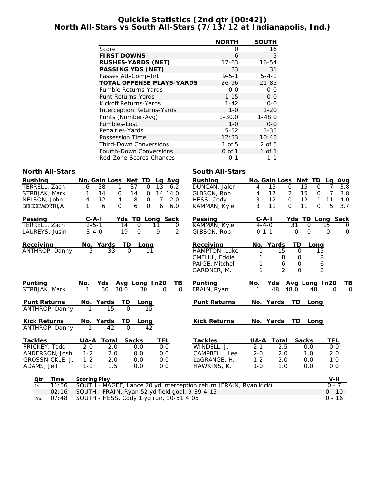#### **Quickie Statistics (2nd qtr [00:42]) North All-Stars vs South All-Stars (7/13/12 at Indianapolis, Ind.)**

|                                   | <b>NORTH</b> | <b>SOUTH</b> |
|-----------------------------------|--------------|--------------|
| Score                             | Ω            | 16           |
| <b>FIRST DOWNS</b>                | 6            | 5            |
| <b>RUSHES-YARDS (NET)</b>         | 17-63        | 16-54        |
| <b>PASSING YDS (NET)</b>          | 33           | 31           |
| Passes Att-Comp-Int               | $9 - 5 - 1$  | $5 - 4 - 1$  |
| <b>TOTAL OFFENSE PLAYS-YARDS</b>  | 26-96        | $21 - 85$    |
| Fumble Returns-Yards              | $0 - 0$      | $0 - 0$      |
| Punt Returns-Yards                | $1 - 15$     | $0 - 0$      |
| Kickoff Returns-Yards             | $1 - 42$     | 0-0          |
| <b>Interception Returns-Yards</b> | $1 - 0$      | $1 - 20$     |
| Punts (Number-Avg)                | $1 - 30.0$   | $1 - 48.0$   |
| Fumbles-Lost                      | $1 - 0$      | $0 - 0$      |
| Penalties-Yards                   | $5 - 52$     | $3 - 35$     |
| Possession Time                   | 12:33        | 10:45        |
| <b>Third-Down Conversions</b>     | 1 of $5$     | $2$ of 5     |
| <b>Fourth-Down Conversions</b>    | 0 of 1       | 1 of 1       |
| Red-Zone Scores-Chances           | 0-1          | $1 - 1$      |

#### **North All-Stars South All-Stars** South All-Stars

| <b>Rushing</b>      |                     |                         | No. Gain Loss Net TD | Lg Avg                                          | <b>Rushing</b>                                                    |             |                | No. Gain Loss Net TD | Lg Avg             |          |
|---------------------|---------------------|-------------------------|----------------------|-------------------------------------------------|-------------------------------------------------------------------|-------------|----------------|----------------------|--------------------|----------|
| TERRELL, Zach       | 38<br>6             | 1                       | 37<br>$\Omega$       | 13<br>6.2                                       | DUNCAN, Jalen                                                     | 4           | 15             | $\mathbf 0$<br>15    | $\Omega$           | 3.8      |
| STRBJAK, Mark       | 14<br>1             | $\mathbf{O}$            | 14<br>0              | 14<br>14.0                                      | GIBSON, Rob                                                       | 4           | 17             | 15<br>$\overline{c}$ | 7<br>$\Omega$      | 3.8      |
| NELSON, John        | 12<br>4             | $\overline{4}$          | 8<br>0               | $\overline{7}$<br>2.0                           | HESS, Cody                                                        | 3           | 12             | 12<br>$\Omega$       | $\mathbf{1}$<br>11 | 4.0      |
| BRIDGEWORTH, A.     | 1                   | $\Omega$<br>6           | 6<br>$\Omega$        | 6<br>6.0                                        | KAMMAN, Kyle                                                      | 3           | 11             | $\Omega$<br>11       | 5<br>$\Omega$      | 3.7      |
| Passing             | $C - A - I$         | Yds                     |                      | TD Long Sack                                    | Passing                                                           | $C-A-I$     |                | Yds TD Long Sack     |                    |          |
| TERRELL, Zach       | $2 - 5 - 1$         | 14                      | $\Omega$             | 11<br>0                                         | KAMMAN, Kyle                                                      | $4 - 4 - 0$ |                | 31<br>$\Omega$       | 15                 | $\Omega$ |
| LAUREYS, Jusin      | $3 - 4 - 0$         | 19                      | $\Omega$             | 2<br>9                                          | GIBSON, Rob                                                       | $0 - 1 - 1$ |                | $\Omega$<br>$\Omega$ | $\Omega$           | $\Omega$ |
| Receiving           | No. Yards           |                         | TD<br>Long           |                                                 | Receiving                                                         |             | No. Yards      | TD<br>Long           |                    |          |
| ANTHROP, Danny      | 5                   | 33                      | $\Omega$<br>11       |                                                 | <b>HAMPTON, Luke</b>                                              |             | 15             | $\mathbf 0$          | 15                 |          |
|                     |                     |                         |                      |                                                 | CMEHIL, Eddie                                                     |             | 8              | $\Omega$             | 8                  |          |
|                     |                     |                         |                      |                                                 | PAIGE, Mitchell                                                   |             | 6              | 0                    | 6                  |          |
|                     |                     |                         |                      |                                                 | GARDNER, M.                                                       |             | $\mathfrak{D}$ | $\Omega$             | $\overline{2}$     |          |
| Punting             | No.                 | Yds                     | Avg Long In20        | TВ                                              | <b>Punting</b>                                                    | No.         | Yds            | Avg Long In20        |                    | TВ       |
| STRBJAK, Mark       |                     | $\overline{30}$<br>30.0 | 30                   | $\Omega$<br>$\Omega$                            | FRAIN, Ryan                                                       |             | 48             | 48.0<br>48           | $\Omega$           | $\Omega$ |
| <b>Punt Returns</b> | No. Yards           |                         | TD.<br>Long          |                                                 | <b>Punt Returns</b>                                               |             | No. Yards      | TD.<br>Long          |                    |          |
| ANTHROP, Danny      | 1                   | 15                      | $\Omega$<br>15       |                                                 |                                                                   |             |                |                      |                    |          |
| <b>Kick Returns</b> | No. Yards           |                         | TD<br>Long           |                                                 | <b>Kick Returns</b>                                               |             | No. Yards      | TD.<br>Long          |                    |          |
| ANTHROP, Danny      | 1                   | 42                      | $\Omega$<br>42       |                                                 |                                                                   |             |                |                      |                    |          |
| <b>Tackles</b>      | UA-A                | <b>Total</b>            | <b>Sacks</b>         | <b>TFL</b>                                      | <b>Tackles</b>                                                    | UA-A        | <b>Total</b>   | <b>Sacks</b>         | <b>TFL</b>         |          |
| FRICKEY, Todd       | $2 - 0$             | 2.0                     | 0.0                  | 0.0                                             | WINDELL, J.                                                       | $2 - 1$     | 2.5            | 0.0                  | 0.0                |          |
| ANDERSON, Josh      | $1 - 2$             | 2.0                     | 0.0                  | 0.0                                             | CAMPBELL, Lee                                                     | $2 - 0$     | 2.0            | 1.0                  | 2.0                |          |
| GROSSNICKLE, J.     | $1 - 2$             | 2.0                     | 0.0                  | 0.0                                             | LaGRANGE, H.                                                      | $1 - 2$     | 2.0            | 0.0                  | 1.0                |          |
| ADAMS, Jeff         | $1 - 1$             | 1.5                     | 0.0                  | 0.0                                             | HAWKINS, K.                                                       | $1 - 0$     | 1.0            | 0.0                  | 0.0                |          |
| Otr<br>Time         | <b>Scoring Play</b> |                         |                      |                                                 |                                                                   |             |                |                      | V-H                |          |
| 11:56<br>1st        |                     |                         |                      |                                                 | SOUTH - MAGEE, Lance 20 yd interception return (FRAIN, Ryan kick) |             |                |                      | $0 - 7$            |          |
| 02:16               |                     |                         |                      | SOUTH - FRAIN, Ryan 52 yd field goal, 9-39 4:15 |                                                                   |             |                |                      | $0 - 10$           |          |
| 07:48<br>2nd        |                     |                         |                      | SOUTH - HESS, Cody 1 yd run, 10-51 4:05         |                                                                   |             |                |                      | $0 - 16$           |          |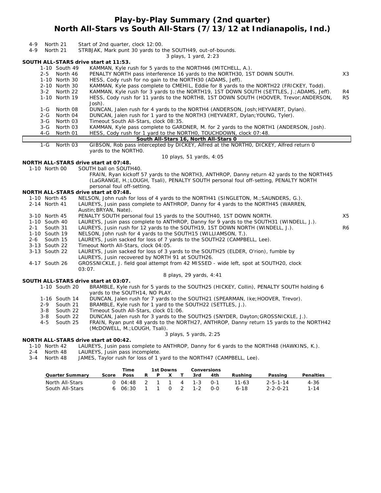# **Play-by-Play Summary (2nd quarter) North All-Stars vs South All-Stars (7/13/12 at Indianapolis, Ind.)**

| $4 - 9$<br>North 21                      | Start of 2nd quarter, clock 12:00.                                                                                                                                         |                |
|------------------------------------------|----------------------------------------------------------------------------------------------------------------------------------------------------------------------------|----------------|
| $4 - 9$<br>North 21                      | STRBJAK, Mark punt 30 yards to the SOUTH49, out-of-bounds.<br>3 plays, 1 yard, 2:23                                                                                        |                |
| SOUTH ALL-STARS drive start at 11:53.    |                                                                                                                                                                            |                |
| 1-10 South 49                            | KAMMAN, Kyle rush for 5 yards to the NORTH46 (MITCHELL, A.).                                                                                                               |                |
| 2-5 North 46                             | PENALTY NORTH pass interference 16 yards to the NORTH30, 1ST DOWN SOUTH.                                                                                                   | X3             |
| 1-10 North 30                            | HESS, Cody rush for no gain to the NORTH30 (ADAMS, Jeff).                                                                                                                  |                |
| 2-10 North 30                            | KAMMAN, Kyle pass complete to CMEHIL, Eddie for 8 yards to the NORTH22 (FRICKEY, Todd).                                                                                    |                |
| 3-2 North 22                             | KAMMAN, Kyle rush for 3 yards to the NORTH19, 1ST DOWN SOUTH (SETTLES, J.; ADAMS, Jeff).                                                                                   | R4             |
| 1-10 North 19                            | HESS, Cody rush for 11 yards to the NORTH8, 1ST DOWN SOUTH (HOOVER, Trevor; ANDERSON,                                                                                      | R <sub>5</sub> |
|                                          | Josh).                                                                                                                                                                     |                |
| North 08<br>1-G                          | DUNCAN, Jalen rush for 4 yards to the NORTH4 (ANDERSON, Josh; HEYVAERT, Dylan).                                                                                            |                |
| $2 - G$<br>North 04<br>$3-G$<br>North 03 | DUNCAN, Jalen rush for 1 yard to the NORTH3 (HEYVAERT, Dylan; YOUNG, Tyler).<br>Timeout South All-Stars, clock 08:35.                                                      |                |
| North 03<br>3-G                          | KAMMAN, Kyle pass complete to GARDNER, M. for 2 yards to the NORTH1 (ANDERSON, Josh).                                                                                      |                |
| 4-G<br>North 01                          | HESS, Cody rush for 1 yard to the NORTHO, TOUCHDOWN, clock 07:48.                                                                                                          |                |
|                                          | South All-Stars 16, North All-Stars 0                                                                                                                                      |                |
| $1-G$<br>North 03                        | GIBSON, Rob pass intercepted by DICKEY, Alfred at the NORTHO, DICKEY, Alfred return 0                                                                                      |                |
|                                          | yards to the NORTHO.                                                                                                                                                       |                |
| NORTH ALL-STARS drive start at 07:48.    | 10 plays, 51 yards, 4:05                                                                                                                                                   |                |
| 1-10 North 00                            | SOUTH ball on SOUTH40.                                                                                                                                                     |                |
|                                          | FRAIN, Ryan kickoff 57 yards to the NORTH3, ANTHROP, Danny return 42 yards to the NORTH45                                                                                  |                |
|                                          | (LaGRANGE, H.; LOUGH, Tsali), PENALTY SOUTH personal foul off-setting, PENALTY NORTH                                                                                       |                |
|                                          | personal foul off-setting.                                                                                                                                                 |                |
| NORTH ALL-STARS drive start at 07:48.    |                                                                                                                                                                            |                |
| 1-10 North 45                            | NELSON, John rush for loss of 4 yards to the NORTH41 (SINGLETON, M.; SAUNDERS, G.).                                                                                        |                |
| 2-14 North 41                            | LAUREYS, Jusin pass complete to ANTHROP, Danny for 4 yards to the NORTH45 (WARREN,                                                                                         |                |
|                                          | Austin; BRYAN, Nate).                                                                                                                                                      |                |
| 3-10 North 45                            | PENALTY SOUTH personal foul 15 yards to the SOUTH40, 1ST DOWN NORTH.                                                                                                       | X <sub>5</sub> |
| 1-10 South 40<br>South 31<br>$2 - 1$     | LAUREYS, Jusin pass complete to ANTHROP, Danny for 9 yards to the SOUTH31 (WINDELL, J.).<br>LAUREYS, Jusin rush for 12 yards to the SOUTH19, 1ST DOWN NORTH (WINDELL, J.). | R6             |
| 1-10 South 19                            | NELSON, John rush for 4 yards to the SOUTH15 (WILLIAMSON, T.).                                                                                                             |                |
| South 15<br>$2 - 6$                      | LAUREYS, Jusin sacked for loss of 7 yards to the SOUTH22 (CAMPBELL, Lee).                                                                                                  |                |
| 3-13 South 22                            | Timeout North All-Stars, clock 04:05.                                                                                                                                      |                |
| 3-13 South 22                            | LAUREYS, Jusin sacked for loss of 3 yards to the SOUTH25 (ELDER, O'rion), fumble by                                                                                        |                |
|                                          | LAUREYS, Jusin recovered by NORTH 91 at SOUTH26.                                                                                                                           |                |
| 4-17 South 26                            | GROSSNICKLE, J. field goal attempt from 42 MISSED - wide left, spot at SOUTH20, clock                                                                                      |                |
|                                          | 03:07.                                                                                                                                                                     |                |
|                                          | 8 plays, 29 yards, 4:41                                                                                                                                                    |                |
| SOUTH ALL-STARS drive start at 03:07.    |                                                                                                                                                                            |                |
| 1-10 South 20                            | BRAMBLE, Kyle rush for 5 yards to the SOUTH25 (HICKEY, Collin), PENALTY SOUTH holding 6<br>yards to the SOUTH14, NO PLAY.                                                  |                |
| 1-16 South 14                            | DUNCAN, Jalen rush for 7 yards to the SOUTH21 (SPEARMAN, Ike; HOOVER, Trevor).                                                                                             |                |
| $2 - 9$<br>South 21                      | BRAMBLE, Kyle rush for 1 yard to the SOUTH22 (SETTLES, J.).                                                                                                                |                |
| South 22<br>$3 - 8$                      | Timeout South All-Stars, clock 01:06.                                                                                                                                      |                |
| South 22<br>$3 - 8$                      | DUNCAN, Jalen rush for 3 yards to the SOUTH25 (SNYDER, Dayton; GROSSNICKLE, J.).                                                                                           |                |
| 4-5<br>South 25                          | FRAIN, Ryan punt 48 yards to the NORTH27, ANTHROP, Danny return 15 yards to the NORTH42                                                                                    |                |
|                                          | (McDOWELL, M.; LOUGH, Tsali).                                                                                                                                              |                |
|                                          | 3 plays, 5 yards, 2:25                                                                                                                                                     |                |
| NORTH ALL-STARS drive start at 00:42.    |                                                                                                                                                                            |                |

1-10 North 42 LAUREYS, Jusin pass complete to ANTHROP, Danny for 6 yards to the NORTH48 (HAWKINS, K.).

- 2-4 North 48 LAUREYS, Jusin pass incomplete.
- 3-4 North 48 JAMES, Taylor rush for loss of 1 yard to the NORTH47 (CAMPBELL, Lee).

|                                    |       | Time               |   | 1st Downs |          |                | Conversions           |            |                   |                                      |                  |
|------------------------------------|-------|--------------------|---|-----------|----------|----------------|-----------------------|------------|-------------------|--------------------------------------|------------------|
| <b>Quarter Summary</b>             | Score | <b>Poss</b>        | R | P.        | X        |                | 3rd                   | 4th        | Rushina           | Passing                              | <b>Penalties</b> |
| North All-Stars<br>South All-Stars |       | 0.04:48<br>6 06:30 |   | 2 1 1     | <u>ດ</u> | $\overline{2}$ | $4 \t 1-3$<br>$1 - 2$ | ∩-1<br>റ-റ | 11-63<br>$6 - 18$ | $2 - 5 - 1 - 14$<br>$2 - 2 - 0 - 21$ | $4 - 36$<br>1-14 |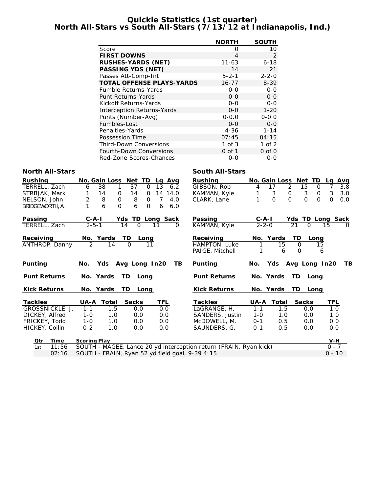#### **Quickie Statistics (1st quarter) North All-Stars vs South All-Stars (7/13/12 at Indianapolis, Ind.)**

|                                   | <b>NORTH</b> | <b>SOUTH</b> |
|-----------------------------------|--------------|--------------|
| Score                             | Ω            | 10           |
| <b>FIRST DOWNS</b>                | 4            | 2            |
| <b>RUSHES-YARDS (NET)</b>         | 11-63        | $6 - 18$     |
| <b>PASSING YDS (NET)</b>          | 14           | 21           |
| Passes Att-Comp-Int               | $5 - 2 - 1$  | $2 - 2 - 0$  |
| <b>TOTAL OFFENSE PLAYS-YARDS</b>  | $16 - 77$    | 8-39         |
| <b>Fumble Returns-Yards</b>       | $0 - 0$      | $0 - 0$      |
| <b>Punt Returns-Yards</b>         | $0 - 0$      | $0 - 0$      |
| Kickoff Returns-Yards             | $0 - 0$      | $0 - 0$      |
| <b>Interception Returns-Yards</b> | $0 - 0$      | $1 - 20$     |
| Punts (Number-Avg)                | $0 - 0.0$    | $0 - 0.0$    |
| Fumbles-Lost                      | $0 - 0$      | $0 - 0$      |
| Penalties-Yards                   | 4-36         | $1 - 14$     |
| Possession Time                   | 07:45        | 04:15        |
| <b>Third-Down Conversions</b>     | 1 of 3       | 1 of $2$     |
| <b>Fourth-Down Conversions</b>    | $0$ of 1     | $0$ of $0$   |
| Red-Zone Scores-Chances           | 0-0          | $O-O$        |

#### **North All-Stars South All-Stars**

| <b>Rushing</b>      | No. Gain Loss Net TD<br>Lg Avg                                         | <b>Rushing</b>      | No. Gain Loss Net TD                 | Avg<br>Lg                   |
|---------------------|------------------------------------------------------------------------|---------------------|--------------------------------------|-----------------------------|
| TERRELL, Zach       | 37<br>38<br>6.2<br>$\Omega$<br>13<br>6                                 | GIBSON, Rob         | 2<br>15<br>17<br>4                   | 3.8<br>0<br>7               |
| STRBJAK, Mark       | 14<br>14<br>14.0<br>1<br>14<br>0<br>$\Omega$                           | KAMMAN, Kyle        | 3<br>3<br>0                          | 3<br>3.0<br>$\Omega$        |
| NELSON, John        | $\overline{c}$<br>$\mathsf{O}$<br>8<br>8<br>$\overline{O}$<br>7<br>4.0 | CLARK, Lane         | $\Omega$<br>$\Omega$<br>$\Omega$     | $\Omega$<br>$\Omega$<br>0.0 |
| BRIDGEWORTH, A.     | 1<br>6<br>6<br>$\Omega$<br>$\Omega$<br>6<br>6.0                        |                     |                                      |                             |
| Passing             | $C - A - I$<br>Yds TD Long Sack                                        | Passing             | $C - A - I$                          | Yds TD Long Sack            |
| TERRELL, Zach       | $2 - 5 - 1$<br>14<br>$\Omega$<br>11<br>$\Omega$                        | KAMMAN, Kyle        | 21<br>$2 - 2 - 0$<br>$\Omega$        | 15<br>$\Omega$              |
| Receiving           | No. Yards<br>TD<br>Long                                                | Receiving           | No. Yards<br>TD                      | Long                        |
| ANTHROP, Danny      | 2<br>$\Omega$<br>11<br>14                                              | HAMPTON, Luke       | 15<br>$\Omega$                       | 15                          |
|                     |                                                                        | PAIGE, Mitchell     | 6<br>$\mathbf 0$                     | 6                           |
| Punting             | Yds Avg Long In20<br>No.<br>TB.                                        | Punting             | Yds Avg Long In20<br>No.             | TВ                          |
| <b>Punt Returns</b> | No. Yards<br>TD Long                                                   | <b>Punt Returns</b> | No. Yards<br>TD -                    | Long                        |
| <b>Kick Returns</b> | No. Yards<br>TD Long                                                   | <b>Kick Returns</b> | No. Yards TD Long                    |                             |
| <b>Tackles</b>      | Total<br><b>Sacks</b><br>TFL<br>UA-A                                   | <b>Tackles</b>      | <b>Total</b><br><b>Sacks</b><br>UA-A | TFL                         |
| GROSSNICKLE, J.     | 1.5<br>0.0<br>$1 - 1$<br>0.0                                           | LaGRANGE, H.        | $1 - 1$<br>1.5<br>0.0                | 1.0                         |
| DICKEY, Alfred      | $1 - 0$<br>0.0<br>1.0<br>0.0                                           | SANDERS, Justin     | $1 - 0$<br>1.0<br>0.0                | 1.0                         |
| FRICKEY, Todd       | $1 - 0$<br>1.0<br>0.0<br>0.0                                           | McDOWELL, M.        | $0 - 1$<br>0.5<br>0.0                | 0.0                         |
| HICKEY, Collin      | $0 - 2$<br>0.0<br>1.0<br>0.0                                           | SAUNDERS, G.        | 0.5<br>0.0<br>$0 - 1$                | 0.0                         |
| Time<br>Qtr         | <b>Scoring Play</b>                                                    |                     |                                      | V-H                         |
| 11:56<br>1st        | SOUTH - MAGEE, Lance 20 yd interception return (FRAIN, Ryan kick)      |                     |                                      | $0 - 7$                     |
| 02:16               | SOUTH - FRAIN, Ryan 52 yd field goal, 9-39 4:15                        |                     |                                      | $0 - 10$                    |